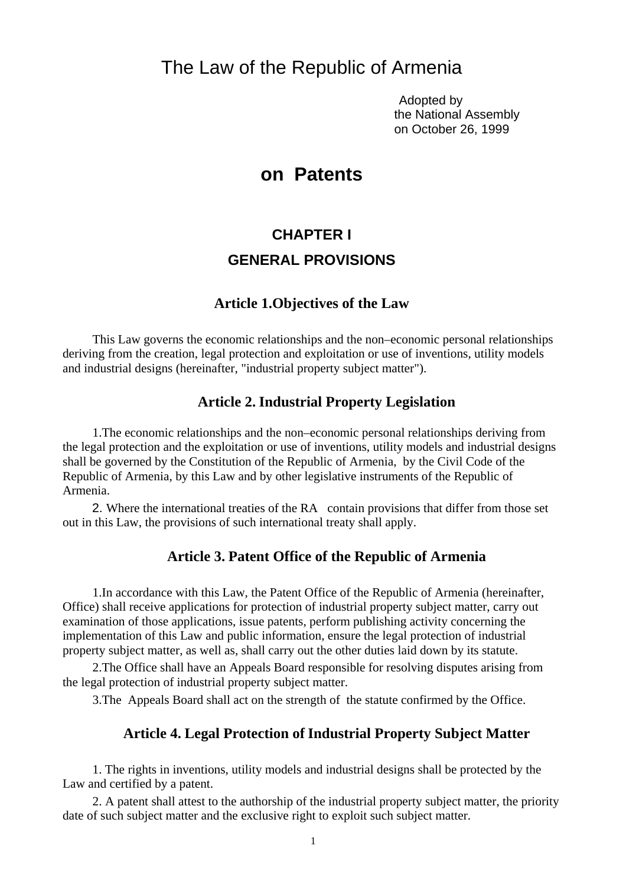## The Law of the Republic of Armenia

 Adopted by the National Assembly on October 26, 1999

## **on Patents**

## **CHAPTER I GENERAL PROVISIONS**

#### **Article 1.Objectives of the Law**

This Law governs the economic relationships and the non–economic personal relationships deriving from the creation, legal protection and exploitation or use of inventions, utility models and industrial designs (hereinafter, "industrial property subject matter").

## **Article 2. Industrial Property Legislation**

1.The economic relationships and the non–economic personal relationships deriving from the legal protection and the exploitation or use of inventions, utility models and industrial designs shall be governed by the Constitution of the Republic of Armenia, by the Civil Code of the Republic of Armenia, by this Law and by other legislative instruments of the Republic of Armenia.

2. Where the international treaties of the RA contain provisions that differ from those set out in this Law, the provisions of such international treaty shall apply.

#### **Article 3. Patent Office of the Republic of Armenia**

1.In accordance with this Law, the Patent Office of the Republic of Armenia (hereinafter, Office) shall receive applications for protection of industrial property subject matter, carry out examination of those applications, issue patents, perform publishing activity concerning the implementation of this Law and public information, ensure the legal protection of industrial property subject matter, as well as, shall carry out the other duties laid down by its statute.

2.The Office shall have an Appeals Board responsible for resolving disputes arising from the legal protection of industrial property subject matter.

3.The Appeals Board shall act on the strength of the statute confirmed by the Office.

### **Article 4. Legal Protection of Industrial Property Subject Matter**

1. The rights in inventions, utility models and industrial designs shall be protected by the Law and certified by a patent.

2. A patent shall attest to the authorship of the industrial property subject matter, the priority date of such subject matter and the exclusive right to exploit such subject matter.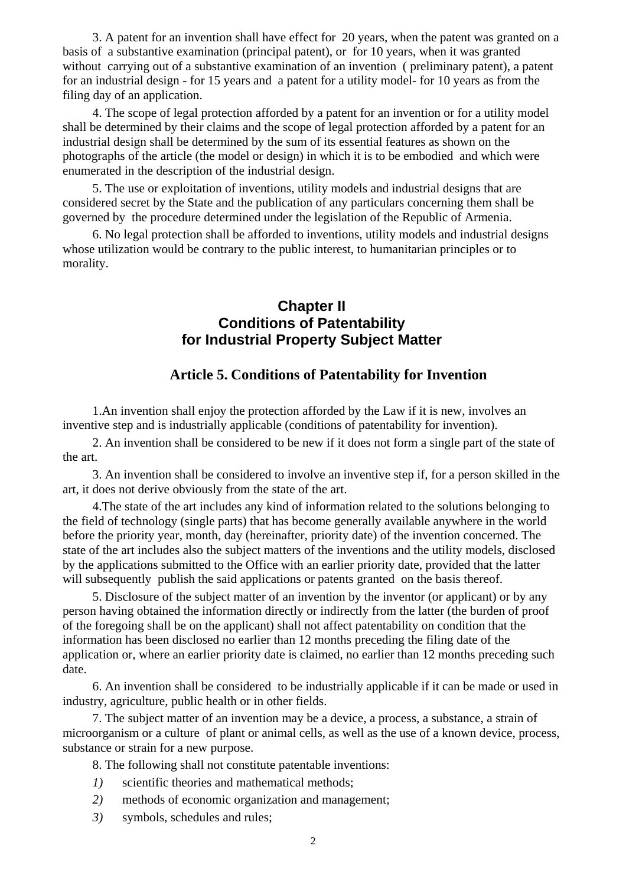3. A patent for an invention shall have effect for 20 years, when the patent was granted on a basis of a substantive examination (principal patent), or for 10 years, when it was granted without carrying out of a substantive examination of an invention ( preliminary patent), a patent for an industrial design - for 15 years and a patent for a utility model- for 10 years as from the filing day of an application.

4. The scope of legal protection afforded by a patent for an invention or for a utility model shall be determined by their claims and the scope of legal protection afforded by a patent for an industrial design shall be determined by the sum of its essential features as shown on the photographs of the article (the model or design) in which it is to be embodied and which were enumerated in the description of the industrial design.

5. The use or exploitation of inventions, utility models and industrial designs that are considered secret by the State and the publication of any particulars concerning them shall be governed by the procedure determined under the legislation of the Republic of Armenia.

6. No legal protection shall be afforded to inventions, utility models and industrial designs whose utilization would be contrary to the public interest, to humanitarian principles or to morality.

## **Chapter II Conditions of Patentability for Industrial Property Subject Matter**

## **Article 5. Conditions of Patentability for Invention**

1.An invention shall enjoy the protection afforded by the Law if it is new, involves an inventive step and is industrially applicable (conditions of patentability for invention).

2. An invention shall be considered to be new if it does not form a single part of the state of the art.

3. An invention shall be considered to involve an inventive step if, for a person skilled in the art, it does not derive obviously from the state of the art.

4.The state of the art includes any kind of information related to the solutions belonging to the field of technology (single parts) that has become generally available anywhere in the world before the priority year, month, day (hereinafter, priority date) of the invention concerned. The state of the art includes also the subject matters of the inventions and the utility models, disclosed by the applications submitted to the Office with an earlier priority date, provided that the latter will subsequently publish the said applications or patents granted on the basis thereof.

5. Disclosure of the subject matter of an invention by the inventor (or applicant) or by any person having obtained the information directly or indirectly from the latter (the burden of proof of the foregoing shall be on the applicant) shall not affect patentability on condition that the information has been disclosed no earlier than 12 months preceding the filing date of the application or, where an earlier priority date is claimed, no earlier than 12 months preceding such date.

6. An invention shall be considered to be industrially applicable if it can be made or used in industry, agriculture, public health or in other fields.

7. The subject matter of an invention may be a device, a process, a substance, a strain of microorganism or a culture of plant or animal cells, as well as the use of a known device, process, substance or strain for a new purpose.

8. The following shall not constitute patentable inventions:

- *1)* scientific theories and mathematical methods;
- *2)* methods of economic organization and management;
- *3)* symbols, schedules and rules;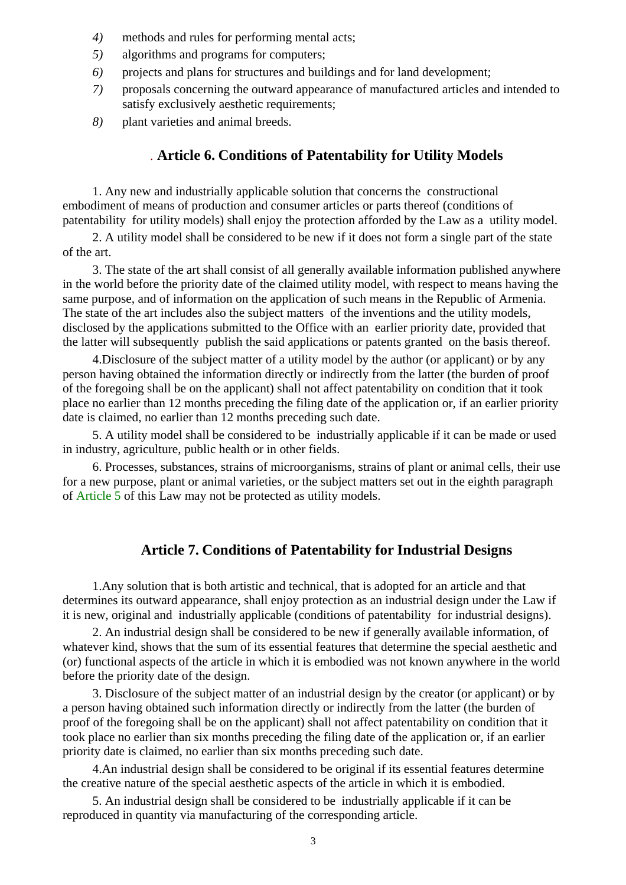- *4)* methods and rules for performing mental acts;
- *5)* algorithms and programs for computers;
- *6)* projects and plans for structures and buildings and for land development;
- *7)* proposals concerning the outward appearance of manufactured articles and intended to satisfy exclusively aesthetic requirements;
- *8)* plant varieties and animal breeds.

#### *.* **Article 6. Conditions of Patentability for Utility Models**

1. Any new and industrially applicable solution that concerns the constructional embodiment of means of production and consumer articles or parts thereof (conditions of patentability for utility models) shall enjoy the protection afforded by the Law as a utility model.

2. A utility model shall be considered to be new if it does not form a single part of the state of the art.

3. The state of the art shall consist of all generally available information published anywhere in the world before the priority date of the claimed utility model, with respect to means having the same purpose, and of information on the application of such means in the Republic of Armenia. The state of the art includes also the subject matters of the inventions and the utility models, disclosed by the applications submitted to the Office with an earlier priority date, provided that the latter will subsequently publish the said applications or patents granted on the basis thereof.

4.Disclosure of the subject matter of a utility model by the author (or applicant) or by any person having obtained the information directly or indirectly from the latter (the burden of proof of the foregoing shall be on the applicant) shall not affect patentability on condition that it took place no earlier than 12 months preceding the filing date of the application or, if an earlier priority date is claimed, no earlier than 12 months preceding such date.

5. A utility model shall be considered to be industrially applicable if it can be made or used in industry, agriculture, public health or in other fields.

6. Processes, substances, strains of microorganisms, strains of plant or animal cells, their use for a new purpose, plant or animal varieties, or the subject matters set out in the eighth paragraph of Article 5 of this Law may not be protected as utility models.

#### **Article 7. Conditions of Patentability for Industrial Designs**

1.Any solution that is both artistic and technical, that is adopted for an article and that determines its outward appearance, shall enjoy protection as an industrial design under the Law if it is new, original and industrially applicable (conditions of patentability for industrial designs).

2. An industrial design shall be considered to be new if generally available information, of whatever kind, shows that the sum of its essential features that determine the special aesthetic and (or) functional aspects of the article in which it is embodied was not known anywhere in the world before the priority date of the design.

3. Disclosure of the subject matter of an industrial design by the creator (or applicant) or by a person having obtained such information directly or indirectly from the latter (the burden of proof of the foregoing shall be on the applicant) shall not affect patentability on condition that it took place no earlier than six months preceding the filing date of the application or, if an earlier priority date is claimed, no earlier than six months preceding such date.

4.An industrial design shall be considered to be original if its essential features determine the creative nature of the special aesthetic aspects of the article in which it is embodied.

5. An industrial design shall be considered to be industrially applicable if it can be reproduced in quantity via manufacturing of the corresponding article.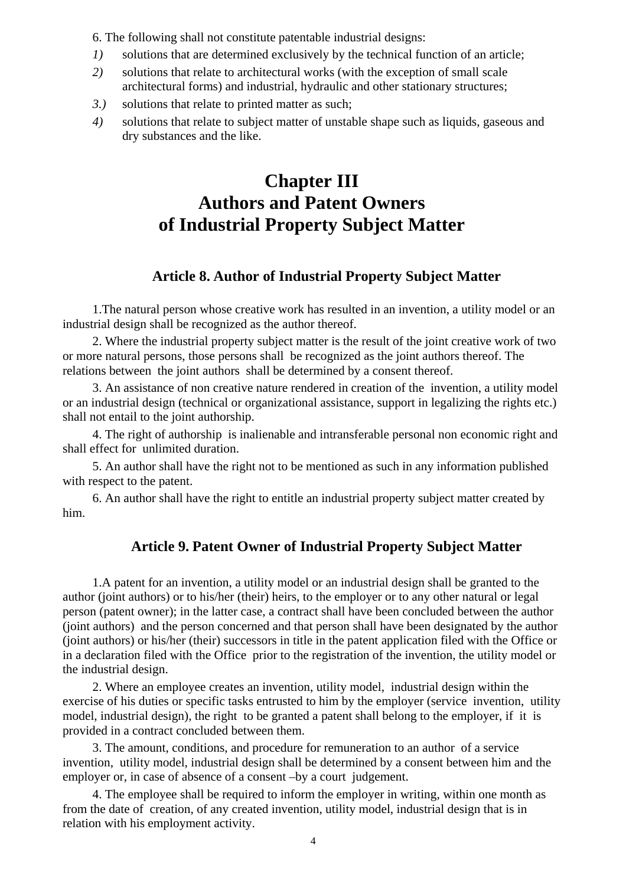6. The following shall not constitute patentable industrial designs:

- *1)* solutions that are determined exclusively by the technical function of an article;
- *2)* solutions that relate to architectural works (with the exception of small scale architectural forms) and industrial, hydraulic and other stationary structures;
- *3.)* solutions that relate to printed matter as such;
- *4)* solutions that relate to subject matter of unstable shape such as liquids, gaseous and dry substances and the like.

# **Chapter III Authors and Patent Owners of Industrial Property Subject Matter**

## **Article 8. Author of Industrial Property Subject Matter**

1.The natural person whose creative work has resulted in an invention, a utility model or an industrial design shall be recognized as the author thereof.

2. Where the industrial property subject matter is the result of the joint creative work of two or more natural persons, those persons shall be recognized as the joint authors thereof. The relations between the joint authors shall be determined by a consent thereof.

3. An assistance of non creative nature rendered in creation of the invention, a utility model or an industrial design (technical or organizational assistance, support in legalizing the rights etc.) shall not entail to the joint authorship.

4. The right of authorship is inalienable and intransferable personal non economic right and shall effect for unlimited duration.

5. An author shall have the right not to be mentioned as such in any information published with respect to the patent.

6. An author shall have the right to entitle an industrial property subject matter created by him.

## **Article 9. Patent Owner of Industrial Property Subject Matter**

1.A patent for an invention, a utility model or an industrial design shall be granted to the author (joint authors) or to his/her (their) heirs, to the employer or to any other natural or legal person (patent owner); in the latter case, a contract shall have been concluded between the author (joint authors) and the person concerned and that person shall have been designated by the author (joint authors) or his/her (their) successors in title in the patent application filed with the Office or in a declaration filed with the Office prior to the registration of the invention, the utility model or the industrial design.

2. Where an employee creates an invention, utility model, industrial design within the exercise of his duties or specific tasks entrusted to him by the employer (service invention, utility model, industrial design), the right to be granted a patent shall belong to the employer, if it is provided in a contract concluded between them.

3. The amount, conditions, and procedure for remuneration to an author of a service invention, utility model, industrial design shall be determined by a consent between him and the employer or, in case of absence of a consent –by a court judgement.

4. The employee shall be required to inform the employer in writing, within one month as from the date of creation, of any created invention, utility model, industrial design that is in relation with his employment activity.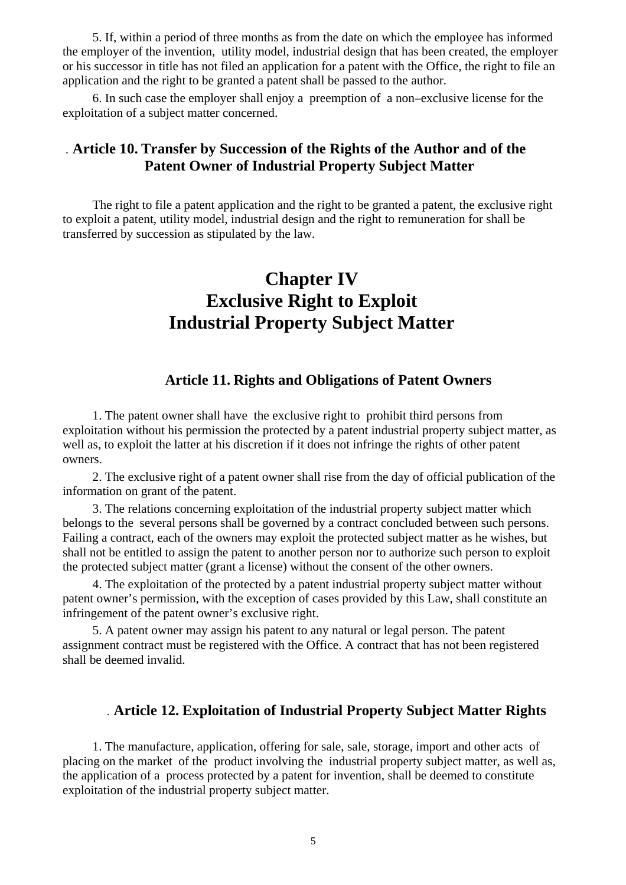5. If, within a period of three months as from the date on which the employee has informed the employer of the invention, utility model, industrial design that has been created, the employer or his successor in title has not filed an application for a patent with the Office, the right to file an application and the right to be granted a patent shall be passed to the author.

6. In such case the employer shall enjoy a preemption of a non–exclusive license for the exploitation of a subject matter concerned.

## *.* **Article 10. Transfer by Succession of the Rights of the Author and of the Patent Owner of Industrial Property Subject Matter**

The right to file a patent application and the right to be granted a patent, the exclusive right to exploit a patent, utility model, industrial design and the right to remuneration for shall be transferred by succession as stipulated by the law.

# **Chapter IV Exclusive Right to Exploit Industrial Property Subject Matter**

## **Article 11. Rights and Obligations of Patent Owners**

1. The patent owner shall have the exclusive right to prohibit third persons from exploitation without his permission the protected by a patent industrial property subject matter, as well as, to exploit the latter at his discretion if it does not infringe the rights of other patent owners.

2. The exclusive right of a patent owner shall rise from the day of official publication of the information on grant of the patent.

3. The relations concerning exploitation of the industrial property subject matter which belongs to the several persons shall be governed by a contract concluded between such persons. Failing a contract, each of the owners may exploit the protected subject matter as he wishes, but shall not be entitled to assign the patent to another person nor to authorize such person to exploit the protected subject matter (grant a license) without the consent of the other owners.

4. The exploitation of the protected by a patent industrial property subject matter without patent owner's permission, with the exception of cases provided by this Law, shall constitute an infringement of the patent owner's exclusive right.

5. A patent owner may assign his patent to any natural or legal person. The patent assignment contract must be registered with the Office. A contract that has not been registered shall be deemed invalid.

### *.* **Article 12. Exploitation of Industrial Property Subject Matter Rights**

1. The manufacture, application, offering for sale, sale, storage, import and other acts of placing on the market of the product involving the industrial property subject matter, as well as, the application of a process protected by a patent for invention, shall be deemed to constitute exploitation of the industrial property subject matter.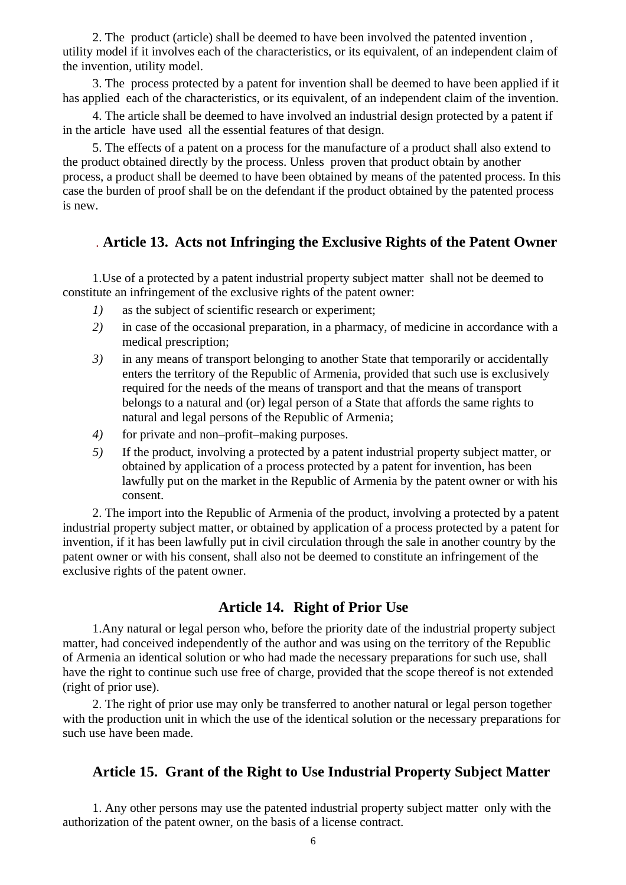2. The product (article) shall be deemed to have been involved the patented invention , utility model if it involves each of the characteristics, or its equivalent, of an independent claim of the invention, utility model.

3. The process protected by a patent for invention shall be deemed to have been applied if it has applied each of the characteristics, or its equivalent, of an independent claim of the invention.

4. The article shall be deemed to have involved an industrial design protected by a patent if in the article have used all the essential features of that design.

5. The effects of a patent on a process for the manufacture of a product shall also extend to the product obtained directly by the process. Unless proven that product obtain by another process, a product shall be deemed to have been obtained by means of the patented process. In this case the burden of proof shall be on the defendant if the product obtained by the patented process is new.

#### *.* **Article 13.****Acts not Infringing the Exclusive Rights of the Patent Owner**

1.Use of a protected by a patent industrial property subject matter shall not be deemed to constitute an infringement of the exclusive rights of the patent owner:

- *1)* as the subject of scientific research or experiment;
- *2)* in case of the occasional preparation, in a pharmacy, of medicine in accordance with a medical prescription;
- *3)* in any means of transport belonging to another State that temporarily or accidentally enters the territory of the Republic of Armenia, provided that such use is exclusively required for the needs of the means of transport and that the means of transport belongs to a natural and (or) legal person of a State that affords the same rights to natural and legal persons of the Republic of Armenia;
- *4)* for private and non–profit–making purposes.
- *5)* If the product, involving a protected by a patent industrial property subject matter, or obtained by application of a process protected by a patent for invention, has been lawfully put on the market in the Republic of Armenia by the patent owner or with his consent.

2. The import into the Republic of Armenia of the product, involving a protected by a patent industrial property subject matter, or obtained by application of a process protected by a patent for invention, if it has been lawfully put in civil circulation through the sale in another country by the patent owner or with his consent, shall also not be deemed to constitute an infringement of the exclusive rights of the patent owner.

## **Article 14.****Right of Prior Use**

1.Any natural or legal person who, before the priority date of the industrial property subject matter, had conceived independently of the author and was using on the territory of the Republic of Armenia an identical solution or who had made the necessary preparations for such use, shall have the right to continue such use free of charge, provided that the scope thereof is not extended (right of prior use).

2. The right of prior use may only be transferred to another natural or legal person together with the production unit in which the use of the identical solution or the necessary preparations for such use have been made.

#### **Article 15. Grant of the Right to Use Industrial Property Subject Matter**

1. Any other persons may use the patented industrial property subject matter only with the authorization of the patent owner, on the basis of a license contract.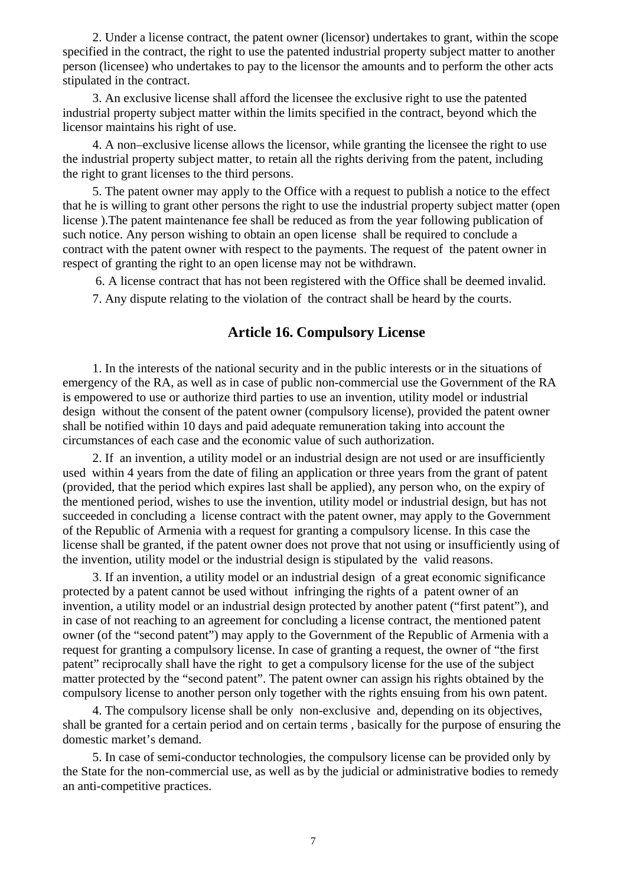2. Under a license contract, the patent owner (licensor) undertakes to grant, within the scope specified in the contract, the right to use the patented industrial property subject matter to another person (licensee) who undertakes to pay to the licensor the amounts and to perform the other acts stipulated in the contract.

3. An exclusive license shall afford the licensee the exclusive right to use the patented industrial property subject matter within the limits specified in the contract, beyond which the licensor maintains his right of use.

4. A non–exclusive license allows the licensor, while granting the licensee the right to use the industrial property subject matter, to retain all the rights deriving from the patent, including the right to grant licenses to the third persons.

5. The patent owner may apply to the Office with a request to publish a notice to the effect that he is willing to grant other persons the right to use the industrial property subject matter (open license ).The patent maintenance fee shall be reduced as from the year following publication of such notice. Any person wishing to obtain an open license shall be required to conclude a contract with the patent owner with respect to the payments. The request of the patent owner in respect of granting the right to an open license may not be withdrawn.

 6. A license contract that has not been registered with the Office shall be deemed invalid. 7. Any dispute relating to the violation of the contract shall be heard by the courts.

## **Article 16. Compulsory License**

 1. In the interests of the national security and in the public interests or in the situations of emergency of the RA, as well as in case of public non-commercial use the Government of the RA is empowered to use or authorize third parties to use an invention, utility model or industrial design without the consent of the patent owner (compulsory license), provided the patent owner shall be notified within 10 days and paid adequate remuneration taking into account the circumstances of each case and the economic value of such authorization.

2. If an invention, a utility model or an industrial design are not used or are insufficiently used within 4 years from the date of filing an application or three years from the grant of patent (provided, that the period which expires last shall be applied), any person who, on the expiry of the mentioned period, wishes to use the invention, utility model or industrial design, but has not succeeded in concluding a license contract with the patent owner, may apply to the Government of the Republic of Armenia with a request for granting a compulsory license. In this case the license shall be granted, if the patent owner does not prove that not using or insufficiently using of the invention, utility model or the industrial design is stipulated by the valid reasons.

3. If an invention, a utility model or an industrial design of a great economic significance protected by a patent cannot be used without infringing the rights of a patent owner of an invention, a utility model or an industrial design protected by another patent ("first patent"), and in case of not reaching to an agreement for concluding a license contract, the mentioned patent owner (of the "second patent") may apply to the Government of the Republic of Armenia with a request for granting a compulsory license. In case of granting a request, the owner of "the first patent" reciprocally shall have the right to get a compulsory license for the use of the subject matter protected by the "second patent". The patent owner can assign his rights obtained by the compulsory license to another person only together with the rights ensuing from his own patent.

4. The compulsory license shall be only non-exclusive and, depending on its objectives, shall be granted for a certain period and on certain terms , basically for the purpose of ensuring the domestic market's demand.

5. In case of semi-conductor technologies, the compulsory license can be provided only by the State for the non-commercial use, as well as by the judicial or administrative bodies to remedy an anti-competitive practices.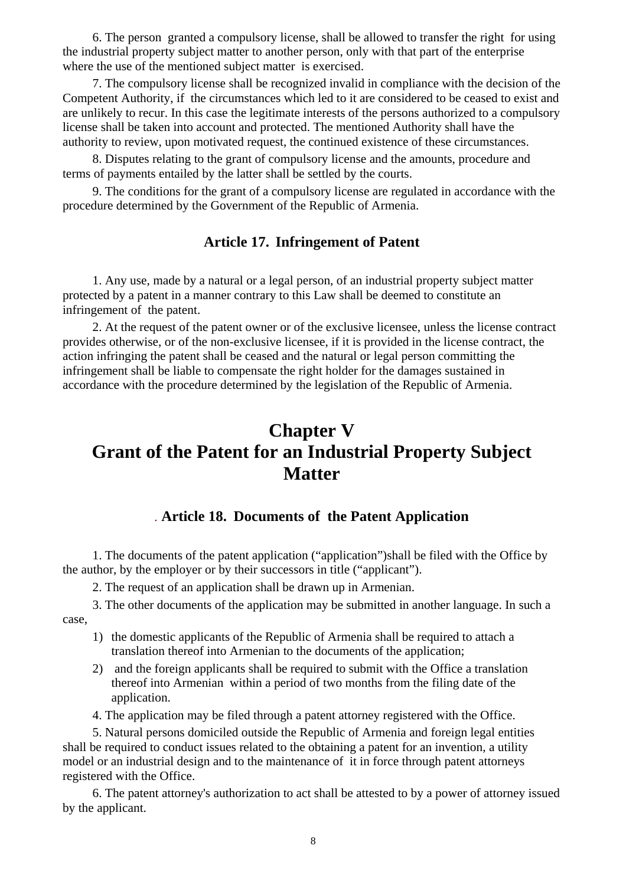6. The person granted a compulsory license, shall be allowed to transfer the right for using the industrial property subject matter to another person, only with that part of the enterprise where the use of the mentioned subject matter is exercised.

7. The compulsory license shall be recognized invalid in compliance with the decision of the Competent Authority, if the circumstances which led to it are considered to be ceased to exist and are unlikely to recur. In this case the legitimate interests of the persons authorized to a compulsory license shall be taken into account and protected. The mentioned Authority shall have the authority to review, upon motivated request, the continued existence of these circumstances.

8. Disputes relating to the grant of compulsory license and the amounts, procedure and terms of payments entailed by the latter shall be settled by the courts.

9. The conditions for the grant of a compulsory license are regulated in accordance with the procedure determined by the Government of the Republic of Armenia.

### **Article 17.****Infringement of Patent**

1. Any use, made by a natural or a legal person, of an industrial property subject matter protected by a patent in a manner contrary to this Law shall be deemed to constitute an infringement of the patent.

2. At the request of the patent owner or of the exclusive licensee, unless the license contract provides otherwise, or of the non-exclusive licensee, if it is provided in the license contract, the action infringing the patent shall be ceased and the natural or legal person committing the infringement shall be liable to compensate the right holder for the damages sustained in accordance with the procedure determined by the legislation of the Republic of Armenia.

# **Chapter V Grant of the Patent for an Industrial Property Subject Matter**

#### *.* **Article 18. Documents of the Patent Application**

1. The documents of the patent application ("application")shall be filed with the Office by the author, by the employer or by their successors in title ("applicant").

2. The request of an application shall be drawn up in Armenian.

3. The other documents of the application may be submitted in another language. In such a case,

- 1) the domestic applicants of the Republic of Armenia shall be required to attach a translation thereof into Armenian to the documents of the application;
- 2) and the foreign applicants shall be required to submit with the Office a translation thereof into Armenian within a period of two months from the filing date of the application.
- 4. The application may be filed through a patent attorney registered with the Office.

5. Natural persons domiciled outside the Republic of Armenia and foreign legal entities shall be required to conduct issues related to the obtaining a patent for an invention, a utility model or an industrial design and to the maintenance of it in force through patent attorneys registered with the Office.

6. The patent attorney's authorization to act shall be attested to by a power of attorney issued by the applicant.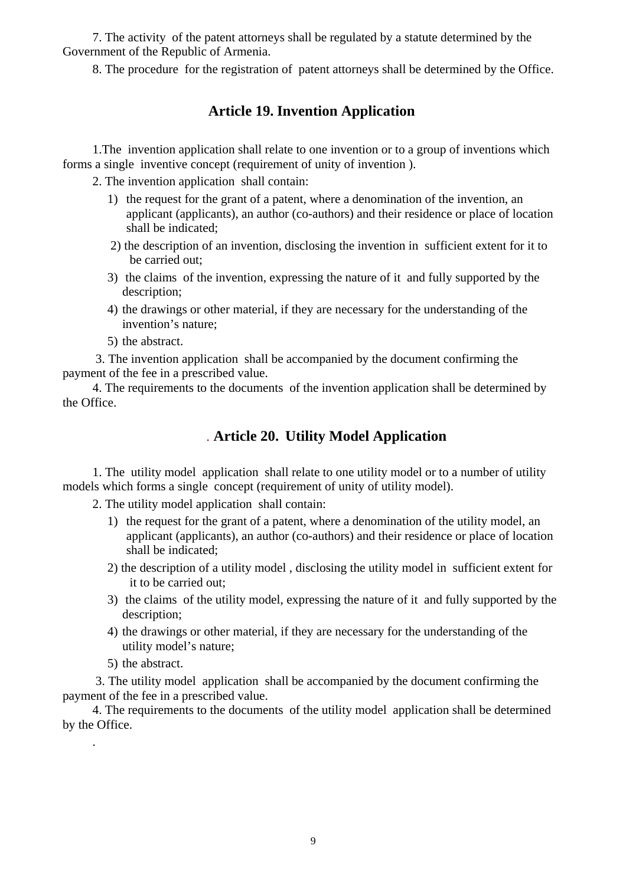7. The activity of the patent attorneys shall be regulated by a statute determined by the Government of the Republic of Armenia.

8. The procedure for the registration of patent attorneys shall be determined by the Office.

## **Article 19. Invention Application**

1.The invention application shall relate to one invention or to a group of inventions which forms a single inventive concept (requirement of unity of invention ).

2. The invention application shall contain:

- 1) the request for the grant of a patent, where a denomination of the invention, an applicant (applicants), an author (co-authors) and their residence or place of location shall be indicated;
- 2) the description of an invention, disclosing the invention in sufficient extent for it to be carried out;
- 3) the claims of the invention, expressing the nature of it and fully supported by the description;
- 4) the drawings or other material, if they are necessary for the understanding of the invention's nature;
- 5) the abstract.

 3. The invention application shall be accompanied by the document confirming the payment of the fee in a prescribed value.

4. The requirements to the documents of the invention application shall be determined by the Office.

### *.* **Article 20.****Utility Model Application**

1. The utility model application shall relate to one utility model or to a number of utility models which forms a single concept (requirement of unity of utility model).

2. The utility model application shall contain:

- 1) the request for the grant of a patent, where a denomination of the utility model, an applicant (applicants), an author (co-authors) and their residence or place of location shall be indicated;
- 2) the description of a utility model , disclosing the utility model in sufficient extent for it to be carried out;
- 3) the claims of the utility model, expressing the nature of it and fully supported by the description;
- 4) the drawings or other material, if they are necessary for the understanding of the utility model's nature;
- 5) the abstract.

.

 3. The utility model application shall be accompanied by the document confirming the payment of the fee in a prescribed value.

4. The requirements to the documents of the utility model application shall be determined by the Office.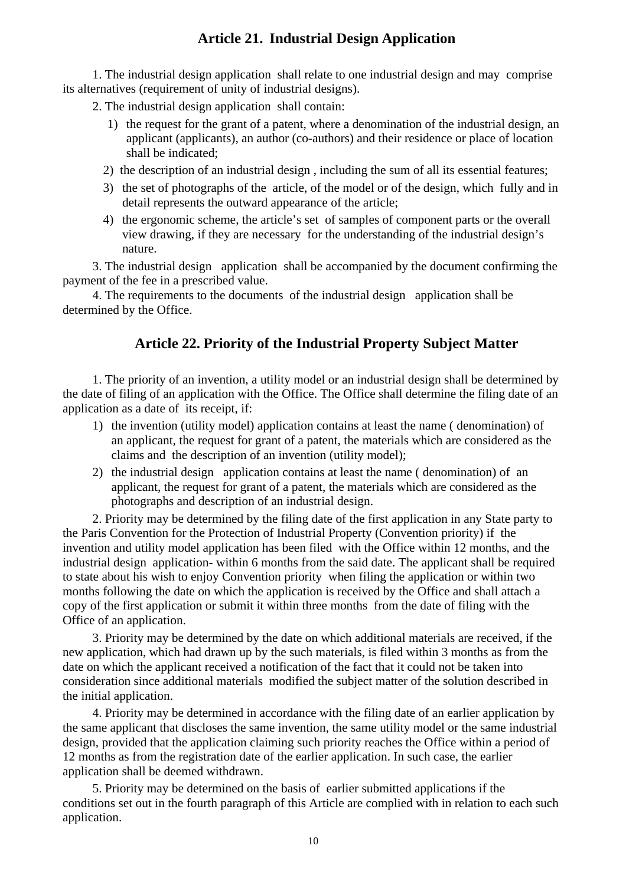## **Article 21.****Industrial Design Application**

1. The industrial design application shall relate to one industrial design and may comprise its alternatives (requirement of unity of industrial designs).

2. The industrial design application shall contain:

- 1) the request for the grant of a patent, where a denomination of the industrial design, an applicant (applicants), an author (co-authors) and their residence or place of location shall be indicated;
- 2) the description of an industrial design , including the sum of all its essential features;
- 3) the set of photographs of the article, of the model or of the design, which fully and in detail represents the outward appearance of the article;
- 4) the ergonomic scheme, the article's set of samples of component parts or the overall view drawing, if they are necessary for the understanding of the industrial design's nature.

3. The industrial design application shall be accompanied by the document confirming the payment of the fee in a prescribed value.

4. The requirements to the documents of the industrial design application shall be determined by the Office.

## **Article 22. Priority of the Industrial Property Subject Matter**

 1. The priority of an invention, a utility model or an industrial design shall be determined by the date of filing of an application with the Office. The Office shall determine the filing date of an application as a date of its receipt, if:

- 1) the invention (utility model) application contains at least the name ( denomination) of an applicant, the request for grant of a patent, the materials which are considered as the claims and the description of an invention (utility model);
- 2) the industrial design application contains at least the name ( denomination) of an applicant, the request for grant of a patent, the materials which are considered as the photographs and description of an industrial design.

2. Priority may be determined by the filing date of the first application in any State party to the Paris Convention for the Protection of Industrial Property (Convention priority) if the invention and utility model application has been filed with the Office within 12 months, and the industrial design application- within 6 months from the said date. The applicant shall be required to state about his wish to enjoy Convention priority when filing the application or within two months following the date on which the application is received by the Office and shall attach a copy of the first application or submit it within three months from the date of filing with the Office of an application.

3. Priority may be determined by the date on which additional materials are received, if the new application, which had drawn up by the such materials, is filed within 3 months as from the date on which the applicant received a notification of the fact that it could not be taken into consideration since additional materials modified the subject matter of the solution described in the initial application.

4. Priority may be determined in accordance with the filing date of an earlier application by the same applicant that discloses the same invention, the same utility model or the same industrial design, provided that the application claiming such priority reaches the Office within a period of 12 months as from the registration date of the earlier application. In such case, the earlier application shall be deemed withdrawn.

5. Priority may be determined on the basis of earlier submitted applications if the conditions set out in the fourth paragraph of this Article are complied with in relation to each such application.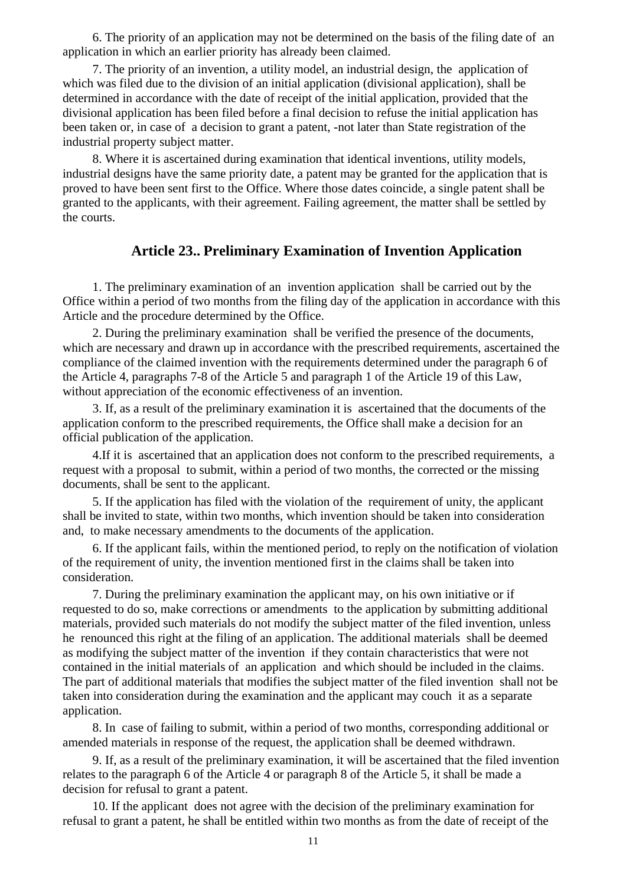6. The priority of an application may not be determined on the basis of the filing date of an application in which an earlier priority has already been claimed.

7. The priority of an invention, a utility model, an industrial design, the application of which was filed due to the division of an initial application (divisional application), shall be determined in accordance with the date of receipt of the initial application, provided that the divisional application has been filed before a final decision to refuse the initial application has been taken or, in case of a decision to grant a patent, -not later than State registration of the industrial property subject matter.

8. Where it is ascertained during examination that identical inventions, utility models, industrial designs have the same priority date, a patent may be granted for the application that is proved to have been sent first to the Office. Where those dates coincide, a single patent shall be granted to the applicants, with their agreement. Failing agreement, the matter shall be settled by the courts.

#### **Article 23.. Preliminary Examination of Invention Application**

1. The preliminary examination of an invention application shall be carried out by the Office within a period of two months from the filing day of the application in accordance with this Article and the procedure determined by the Office.

2. During the preliminary examination shall be verified the presence of the documents, which are necessary and drawn up in accordance with the prescribed requirements, ascertained the compliance of the claimed invention with the requirements determined under the paragraph 6 of the Article 4, paragraphs 7-8 of the Article 5 and paragraph 1 of the Article 19 of this Law, without appreciation of the economic effectiveness of an invention.

 3. If, as a result of the preliminary examination it is ascertained that the documents of the application conform to the prescribed requirements, the Office shall make a decision for an official publication of the application.

 4.If it is ascertained that an application does not conform to the prescribed requirements, a request with a proposal to submit, within a period of two months, the corrected or the missing documents, shall be sent to the applicant.

5. If the application has filed with the violation of the requirement of unity, the applicant shall be invited to state, within two months, which invention should be taken into consideration and, to make necessary amendments to the documents of the application.

6. If the applicant fails, within the mentioned period, to reply on the notification of violation of the requirement of unity, the invention mentioned first in the claims shall be taken into consideration.

 7. During the preliminary examination the applicant may, on his own initiative or if requested to do so, make corrections or amendments to the application by submitting additional materials, provided such materials do not modify the subject matter of the filed invention, unless he renounced this right at the filing of an application. The additional materials shall be deemed as modifying the subject matter of the invention if they contain characteristics that were not contained in the initial materials of an application and which should be included in the claims. The part of additional materials that modifies the subject matter of the filed invention shall not be taken into consideration during the examination and the applicant may couch it as a separate application.

8. In case of failing to submit, within a period of two months, corresponding additional or amended materials in response of the request, the application shall be deemed withdrawn.

9. If, as a result of the preliminary examination, it will be ascertained that the filed invention relates to the paragraph 6 of the Article 4 or paragraph 8 of the Article 5, it shall be made a decision for refusal to grant a patent.

 10. If the applicant does not agree with the decision of the preliminary examination for refusal to grant a patent, he shall be entitled within two months as from the date of receipt of the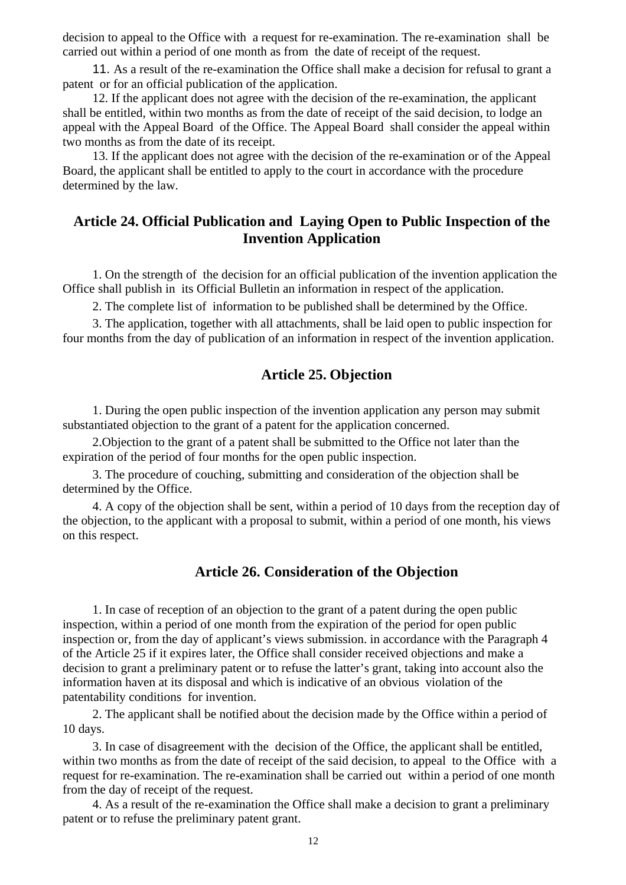decision to appeal to the Office with a request for re-examination. The re-examination shall be carried out within a period of one month as from the date of receipt of the request.

 11. As a result of the re-examination the Office shall make a decision for refusal to grant a patent or for an official publication of the application.

 12. If the applicant does not agree with the decision of the re-examination, the applicant shall be entitled, within two months as from the date of receipt of the said decision, to lodge an appeal with the Appeal Board of the Office. The Appeal Board shall consider the appeal within two months as from the date of its receipt.

 13. If the applicant does not agree with the decision of the re-examination or of the Appeal Board, the applicant shall be entitled to apply to the court in accordance with the procedure determined by the law.

## **Article 24. Official Publication and Laying Open to Public Inspection of the Invention Application**

 1. On the strength of the decision for an official publication of the invention application the Office shall publish in its Official Bulletin an information in respect of the application.

2. The complete list of information to be published shall be determined by the Office.

 3. The application, together with all attachments, shall be laid open to public inspection for four months from the day of publication of an information in respect of the invention application.

### **Article 25. Objection**

1. During the open public inspection of the invention application any person may submit substantiated objection to the grant of a patent for the application concerned.

2.Objection to the grant of a patent shall be submitted to the Office not later than the expiration of the period of four months for the open public inspection.

3. The procedure of couching, submitting and consideration of the objection shall be determined by the Office.

4. A copy of the objection shall be sent, within a period of 10 days from the reception day of the objection, to the applicant with a proposal to submit, within a period of one month, his views on this respect.

#### **Article 26. Consideration of the Objection**

1. In case of reception of an objection to the grant of a patent during the open public inspection, within a period of one month from the expiration of the period for open public inspection or, from the day of applicant's views submission. in accordance with the Paragraph 4 of the Article 25 if it expires later, the Office shall consider received objections and make a decision to grant a preliminary patent or to refuse the latter's grant, taking into account also the information haven at its disposal and which is indicative of an obvious violation of the patentability conditions for invention.

2. The applicant shall be notified about the decision made by the Office within a period of 10 days.

3. In case of disagreement with the decision of the Office, the applicant shall be entitled, within two months as from the date of receipt of the said decision, to appeal to the Office with a request for re-examination. The re-examination shall be carried out within a period of one month from the day of receipt of the request.

 4. As a result of the re-examination the Office shall make a decision to grant a preliminary patent or to refuse the preliminary patent grant.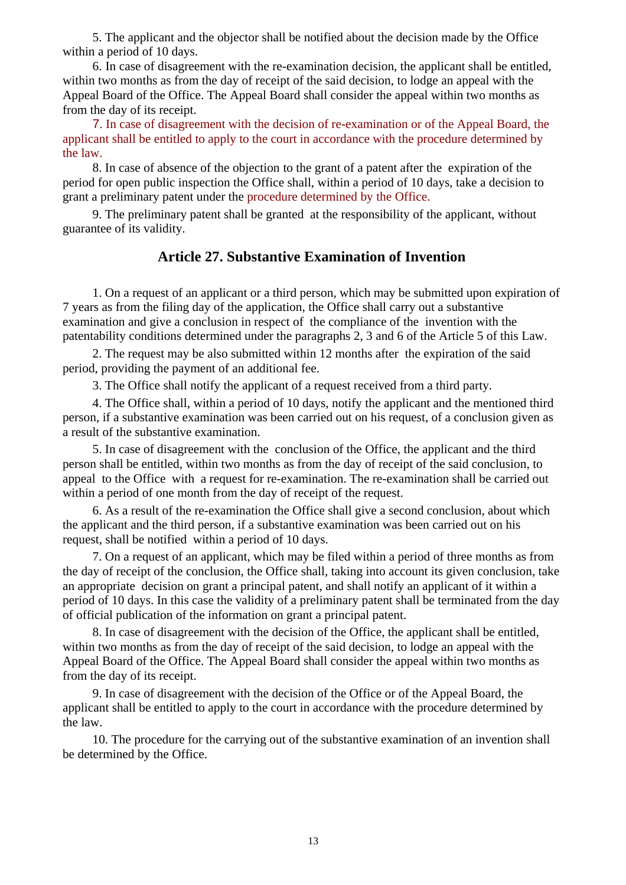5. The applicant and the objector shall be notified about the decision made by the Office within a period of 10 days.

 6. In case of disagreement with the re-examination decision, the applicant shall be entitled, within two months as from the day of receipt of the said decision, to lodge an appeal with the Appeal Board of the Office. The Appeal Board shall consider the appeal within two months as from the day of its receipt.

 7. In case of disagreement with the decision of re-examination or of the Appeal Board, the applicant shall be entitled to apply to the court in accordance with the procedure determined by the law.

 8. In case of absence of the objection to the grant of a patent after the expiration of the period for open public inspection the Office shall, within a period of 10 days, take a decision to grant a preliminary patent under the procedure determined by the Office.

9. The preliminary patent shall be granted at the responsibility of the applicant, without guarantee of its validity.

### **Article 27. Substantive Examination of Invention**

1. On a request of an applicant or a third person, which may be submitted upon expiration of 7 years as from the filing day of the application, the Office shall carry out a substantive examination and give a conclusion in respect of the compliance of the invention with the patentability conditions determined under the paragraphs 2, 3 and 6 of the Article 5 of this Law.

2. The request may be also submitted within 12 months after the expiration of the said period, providing the payment of an additional fee.

3. The Office shall notify the applicant of a request received from a third party.

4. The Office shall, within a period of 10 days, notify the applicant and the mentioned third person, if a substantive examination was been carried out on his request, of a conclusion given as a result of the substantive examination.

5. In case of disagreement with the conclusion of the Office, the applicant and the third person shall be entitled, within two months as from the day of receipt of the said conclusion, to appeal to the Office with a request for re-examination. The re-examination shall be carried out within a period of one month from the day of receipt of the request.

6. As a result of the re-examination the Office shall give a second conclusion, about which the applicant and the third person, if a substantive examination was been carried out on his request, shall be notified within a period of 10 days.

7. On a request of an applicant, which may be filed within a period of three months as from the day of receipt of the conclusion, the Office shall, taking into account its given conclusion, take an appropriate decision on grant a principal patent, and shall notify an applicant of it within a period of 10 days. In this case the validity of a preliminary patent shall be terminated from the day of official publication of the information on grant a principal patent.

8. In case of disagreement with the decision of the Office, the applicant shall be entitled, within two months as from the day of receipt of the said decision, to lodge an appeal with the Appeal Board of the Office. The Appeal Board shall consider the appeal within two months as from the day of its receipt.

9. In case of disagreement with the decision of the Office or of the Appeal Board, the applicant shall be entitled to apply to the court in accordance with the procedure determined by the law.

10. The procedure for the carrying out of the substantive examination of an invention shall be determined by the Office.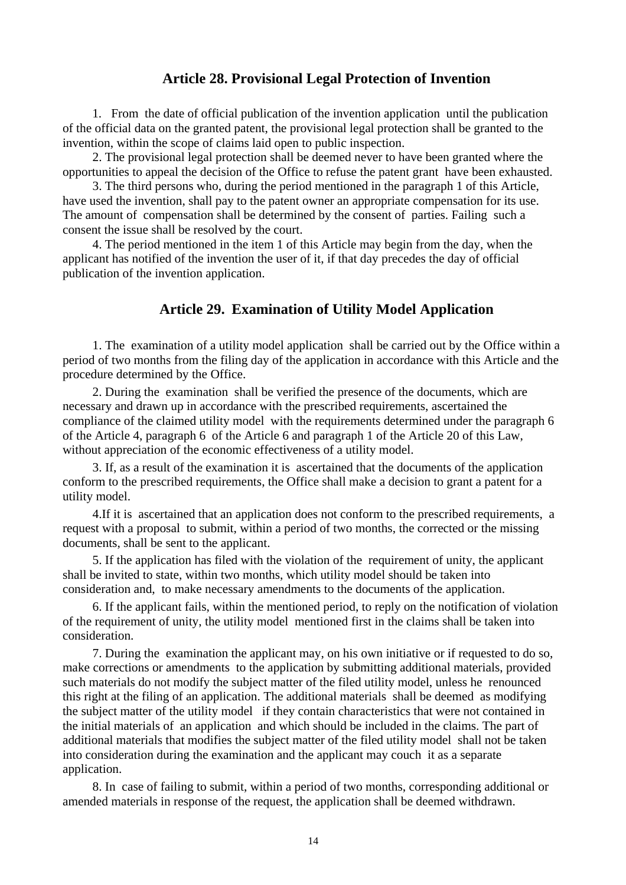#### **Article 28. Provisional Legal Protection of Invention**

1. From the date of official publication of the invention application until the publication of the official data on the granted patent, the provisional legal protection shall be granted to the invention, within the scope of claims laid open to public inspection.

 2. The provisional legal protection shall be deemed never to have been granted where the opportunities to appeal the decision of the Office to refuse the patent grant have been exhausted.

 3. The third persons who, during the period mentioned in the paragraph 1 of this Article, have used the invention, shall pay to the patent owner an appropriate compensation for its use. The amount of compensation shall be determined by the consent of parties. Failing such a consent the issue shall be resolved by the court.

 4. The period mentioned in the item 1 of this Article may begin from the day, when the applicant has notified of the invention the user of it, if that day precedes the day of official publication of the invention application.

#### **Article 29. Examination of Utility Model Application**

1. The examination of a utility model application shall be carried out by the Office within a period of two months from the filing day of the application in accordance with this Article and the procedure determined by the Office.

2. During the examination shall be verified the presence of the documents, which are necessary and drawn up in accordance with the prescribed requirements, ascertained the compliance of the claimed utility model with the requirements determined under the paragraph 6 of the Article 4, paragraph 6 of the Article 6 and paragraph 1 of the Article 20 of this Law, without appreciation of the economic effectiveness of a utility model.

 3. If, as a result of the examination it is ascertained that the documents of the application conform to the prescribed requirements, the Office shall make a decision to grant a patent for a utility model.

 4.If it is ascertained that an application does not conform to the prescribed requirements, a request with a proposal to submit, within a period of two months, the corrected or the missing documents, shall be sent to the applicant.

5. If the application has filed with the violation of the requirement of unity, the applicant shall be invited to state, within two months, which utility model should be taken into consideration and, to make necessary amendments to the documents of the application.

6. If the applicant fails, within the mentioned period, to reply on the notification of violation of the requirement of unity, the utility model mentioned first in the claims shall be taken into consideration.

 7. During the examination the applicant may, on his own initiative or if requested to do so, make corrections or amendments to the application by submitting additional materials, provided such materials do not modify the subject matter of the filed utility model, unless he renounced this right at the filing of an application. The additional materials shall be deemed as modifying the subject matter of the utility model if they contain characteristics that were not contained in the initial materials of an application and which should be included in the claims. The part of additional materials that modifies the subject matter of the filed utility model shall not be taken into consideration during the examination and the applicant may couch it as a separate application.

8. In case of failing to submit, within a period of two months, corresponding additional or amended materials in response of the request, the application shall be deemed withdrawn.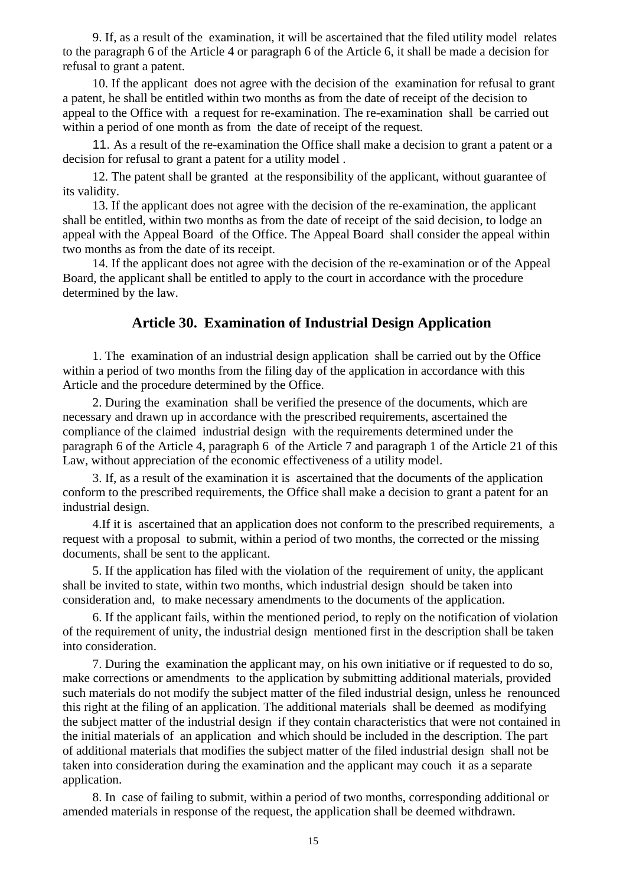9. If, as a result of the examination, it will be ascertained that the filed utility model relates to the paragraph 6 of the Article 4 or paragraph 6 of the Article 6, it shall be made a decision for refusal to grant a patent.

 10. If the applicant does not agree with the decision of the examination for refusal to grant a patent, he shall be entitled within two months as from the date of receipt of the decision to appeal to the Office with a request for re-examination. The re-examination shall be carried out within a period of one month as from the date of receipt of the request.

 11. As a result of the re-examination the Office shall make a decision to grant a patent or a decision for refusal to grant a patent for a utility model .

 12. The patent shall be granted at the responsibility of the applicant, without guarantee of its validity.

 13. If the applicant does not agree with the decision of the re-examination, the applicant shall be entitled, within two months as from the date of receipt of the said decision, to lodge an appeal with the Appeal Board of the Office. The Appeal Board shall consider the appeal within two months as from the date of its receipt.

 14. If the applicant does not agree with the decision of the re-examination or of the Appeal Board, the applicant shall be entitled to apply to the court in accordance with the procedure determined by the law.

#### **Article 30. Examination of Industrial Design Application**

1. The examination of an industrial design application shall be carried out by the Office within a period of two months from the filing day of the application in accordance with this Article and the procedure determined by the Office.

2. During the examination shall be verified the presence of the documents, which are necessary and drawn up in accordance with the prescribed requirements, ascertained the compliance of the claimed industrial design with the requirements determined under the paragraph 6 of the Article 4, paragraph 6 of the Article 7 and paragraph 1 of the Article 21 of this Law, without appreciation of the economic effectiveness of a utility model.

 3. If, as a result of the examination it is ascertained that the documents of the application conform to the prescribed requirements, the Office shall make a decision to grant a patent for an industrial design.

 4.If it is ascertained that an application does not conform to the prescribed requirements, a request with a proposal to submit, within a period of two months, the corrected or the missing documents, shall be sent to the applicant.

5. If the application has filed with the violation of the requirement of unity, the applicant shall be invited to state, within two months, which industrial design should be taken into consideration and, to make necessary amendments to the documents of the application.

6. If the applicant fails, within the mentioned period, to reply on the notification of violation of the requirement of unity, the industrial design mentioned first in the description shall be taken into consideration.

 7. During the examination the applicant may, on his own initiative or if requested to do so, make corrections or amendments to the application by submitting additional materials, provided such materials do not modify the subject matter of the filed industrial design, unless he renounced this right at the filing of an application. The additional materials shall be deemed as modifying the subject matter of the industrial design if they contain characteristics that were not contained in the initial materials of an application and which should be included in the description. The part of additional materials that modifies the subject matter of the filed industrial design shall not be taken into consideration during the examination and the applicant may couch it as a separate application.

8. In case of failing to submit, within a period of two months, corresponding additional or amended materials in response of the request, the application shall be deemed withdrawn.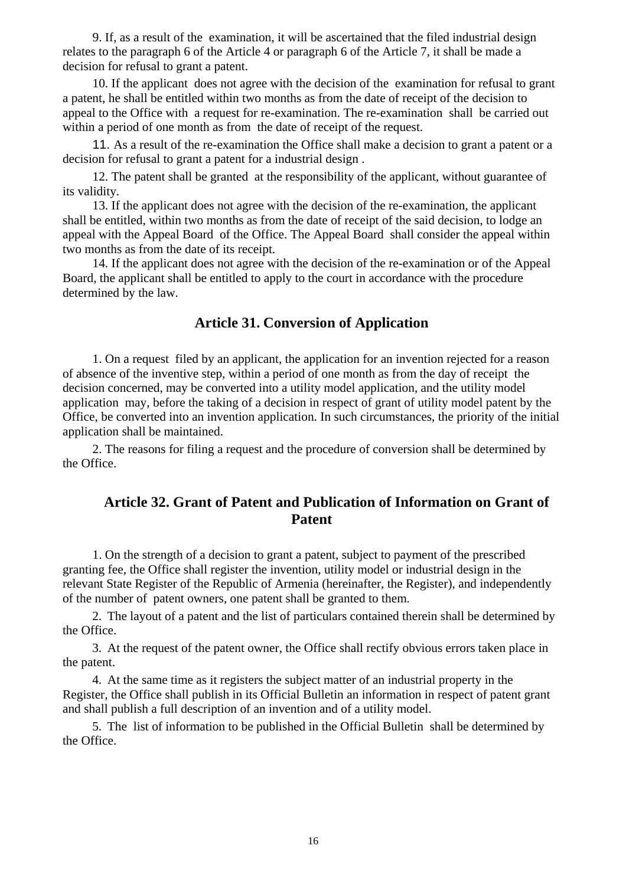9. If, as a result of the examination, it will be ascertained that the filed industrial design relates to the paragraph 6 of the Article 4 or paragraph 6 of the Article 7, it shall be made a decision for refusal to grant a patent.

 10. If the applicant does not agree with the decision of the examination for refusal to grant a patent, he shall be entitled within two months as from the date of receipt of the decision to appeal to the Office with a request for re-examination. The re-examination shall be carried out within a period of one month as from the date of receipt of the request.

 11. As a result of the re-examination the Office shall make a decision to grant a patent or a decision for refusal to grant a patent for a industrial design .

 12. The patent shall be granted at the responsibility of the applicant, without guarantee of its validity.

 13. If the applicant does not agree with the decision of the re-examination, the applicant shall be entitled, within two months as from the date of receipt of the said decision, to lodge an appeal with the Appeal Board of the Office. The Appeal Board shall consider the appeal within two months as from the date of its receipt.

 14. If the applicant does not agree with the decision of the re-examination or of the Appeal Board, the applicant shall be entitled to apply to the court in accordance with the procedure determined by the law.

### **Article 31. Conversion of Application**

1. On a request filed by an applicant, the application for an invention rejected for a reason of absence of the inventive step, within a period of one month as from the day of receipt the decision concerned, may be converted into a utility model application, and the utility model application may, before the taking of a decision in respect of grant of utility model patent by the Office, be converted into an invention application. In such circumstances, the priority of the initial application shall be maintained.

2. The reasons for filing a request and the procedure of conversion shall be determined by the Office.

## **Article 32. Grant of Patent and Publication of Information on Grant of Patent**

1. On the strength of a decision to grant a patent, subject to payment of the prescribed granting fee, the Office shall register the invention, utility model or industrial design in the relevant State Register of the Republic of Armenia (hereinafter, the Register), and independently of the number of patent owners, one patent shall be granted to them.

2. The layout of a patent and the list of particulars contained therein shall be determined by the Office.

3. At the request of the patent owner, the Office shall rectify obvious errors taken place in the patent.

4. At the same time as it registers the subject matter of an industrial property in the Register, the Office shall publish in its Official Bulletin an information in respect of patent grant and shall publish a full description of an invention and of a utility model.

5. The list of information to be published in the Official Bulletin shall be determined by the Office.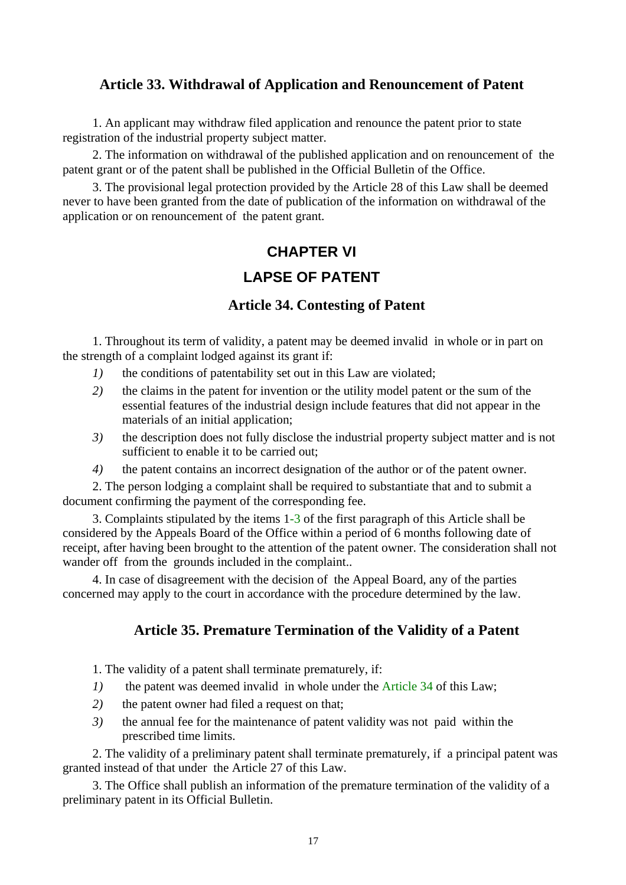## **Article 33. Withdrawal of Application and Renouncement of Patent**

1. An applicant may withdraw filed application and renounce the patent prior to state registration of the industrial property subject matter.

2. The information on withdrawal of the published application and on renouncement of the patent grant or of the patent shall be published in the Official Bulletin of the Office.

3. The provisional legal protection provided by the Article 28 of this Law shall be deemed never to have been granted from the date of publication of the information on withdrawal of the application or on renouncement of the patent grant.

# **CHAPTER VI LAPSE OF PATENT**

## **Article 34. Contesting of Patent**

1. Throughout its term of validity, a patent may be deemed invalid in whole or in part on the strength of a complaint lodged against its grant if:

- *1)* the conditions of patentability set out in this Law are violated;
- *2)* the claims in the patent for invention or the utility model patent or the sum of the essential features of the industrial design include features that did not appear in the materials of an initial application;
- *3)* the description does not fully disclose the industrial property subject matter and is not sufficient to enable it to be carried out;
- *4)* the patent contains an incorrect designation of the author or of the patent owner.

2. The person lodging a complaint shall be required to substantiate that and to submit a document confirming the payment of the corresponding fee.

3. Complaints stipulated by the items 1-3 of the first paragraph of this Article shall be considered by the Appeals Board of the Office within a period of 6 months following date of receipt, after having been brought to the attention of the patent owner. The consideration shall not wander off from the grounds included in the complaint..

4. In case of disagreement with the decision of the Appeal Board, any of the parties concerned may apply to the court in accordance with the procedure determined by the law.

## **Article 35. Premature Termination of the Validity of a Patent**

1. The validity of a patent shall terminate prematurely, if:

- *1)* the patent was deemed invalid in whole under the Article 34 of this Law;
- *2)* the patent owner had filed a request on that;
- *3)* the annual fee for the maintenance of patent validity was not paid within the prescribed time limits.

2. The validity of a preliminary patent shall terminate prematurely, if a principal patent was granted instead of that under the Article 27 of this Law.

3. The Office shall publish an information of the premature termination of the validity of a preliminary patent in its Official Bulletin.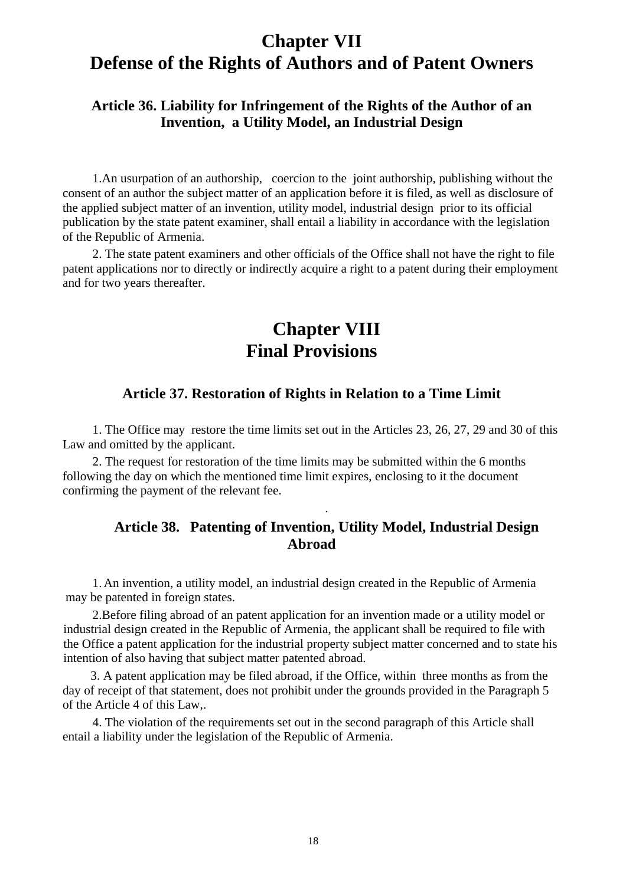## **Chapter VII Defense of the Rights of Authors and of Patent Owners**

## **Article 36. Liability for Infringement of the Rights of the Author of an Invention, a Utility Model, an Industrial Design**

1.An usurpation of an authorship, coercion to the joint authorship, publishing without the consent of an author the subject matter of an application before it is filed, as well as disclosure of the applied subject matter of an invention, utility model, industrial design prior to its official publication by the state patent examiner, shall entail a liability in accordance with the legislation of the Republic of Armenia.

2. The state patent examiners and other officials of the Office shall not have the right to file patent applications nor to directly or indirectly acquire a right to a patent during their employment and for two years thereafter.

## **Chapter VIII Final Provisions**

#### **Article 37. Restoration of Rights in Relation to a Time Limit**

1. The Office may restore the time limits set out in the Articles 23, 26, 27, 29 and 30 of this Law and omitted by the applicant.

2. The request for restoration of the time limits may be submitted within the 6 months following the day on which the mentioned time limit expires, enclosing to it the document confirming the payment of the relevant fee.

## **Article 38. Patenting of Invention, Utility Model, Industrial Design Abroad**

.

1. An invention, a utility model, an industrial design created in the Republic of Armenia may be patented in foreign states.

2.Before filing abroad of an patent application for an invention made or a utility model or industrial design created in the Republic of Armenia, the applicant shall be required to file with the Office a patent application for the industrial property subject matter concerned and to state his intention of also having that subject matter patented abroad.

3. A patent application may be filed abroad, if the Office, within three months as from the day of receipt of that statement, does not prohibit under the grounds provided in the Paragraph 5 of the Article 4 of this Law,.

4. The violation of the requirements set out in the second paragraph of this Article shall entail a liability under the legislation of the Republic of Armenia.